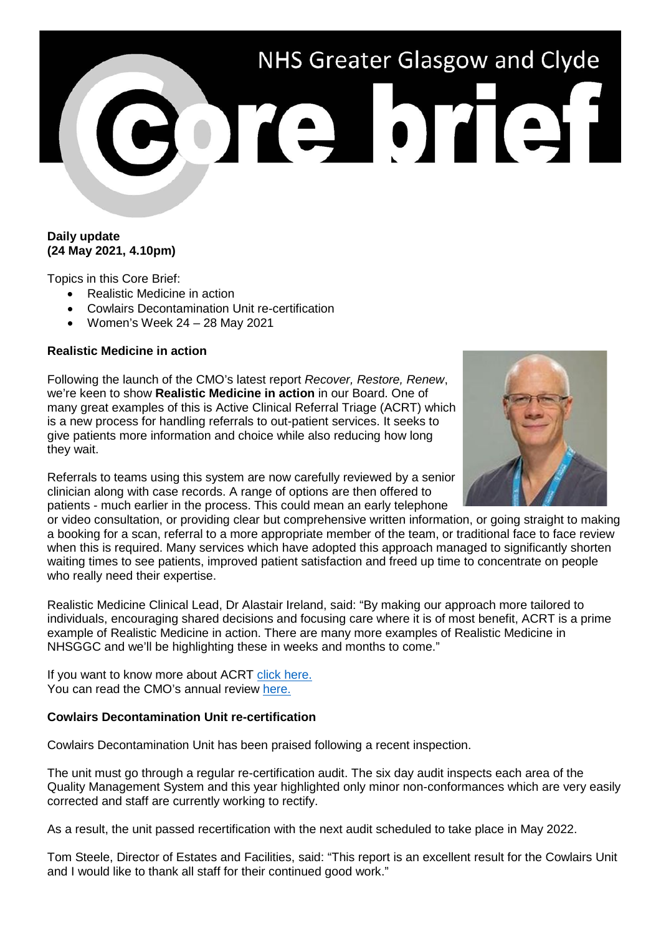# NHS Greater Glasgow and Clyde

## **Daily update (24 May 2021, 4.10pm)**

Topics in this Core Brief:

- Realistic Medicine in action
- Cowlairs Decontamination Unit re-certification
- Women's Week 24 28 May 2021

# **Realistic Medicine in action**

Following the launch of the CMO's latest report *Recover, Restore, Renew*, we're keen to show **Realistic Medicine in action** in our Board. One of many great examples of this is Active Clinical Referral Triage (ACRT) which is a new process for handling referrals to out-patient services. It seeks to give patients more information and choice while also reducing how long they wait.

Referrals to teams using this system are now carefully reviewed by a senior clinician along with case records. A range of options are then offered to patients - much earlier in the process. This could mean an early telephone



or video consultation, or providing clear but comprehensive written information, or going straight to making a booking for a scan, referral to a more appropriate member of the team, or traditional face to face review when this is required. Many services which have adopted this approach managed to significantly shorten waiting times to see patients, improved patient satisfaction and freed up time to concentrate on people who really need their expertise.

Realistic Medicine Clinical Lead, Dr Alastair Ireland, said: "By making our approach more tailored to individuals, encouraging shared decisions and focusing care where it is of most benefit, ACRT is a prime example of Realistic Medicine in action. There are many more examples of Realistic Medicine in NHSGGC and we'll be highlighting these in weeks and months to come."

If you want to know more about ACRT [click here.](https://www.nhsggc.org.uk/patients-and-visitors/realistic-medicine/info-resources-for-staff/realistic-medicine-in-action-acrt/) You can read the CMO's annual review [here.](https://www.gov.scot/publications/cmo-annual-report-2020-21/)

### **Cowlairs Decontamination Unit re-certification**

Cowlairs Decontamination Unit has been praised following a recent inspection.

The unit must go through a regular re-certification audit. The six day audit inspects each area of the Quality Management System and this year highlighted only minor non-conformances which are very easily corrected and staff are currently working to rectify.

As a result, the unit passed recertification with the next audit scheduled to take place in May 2022.

Tom Steele, Director of Estates and Facilities, said: "This report is an excellent result for the Cowlairs Unit and I would like to thank all staff for their continued good work."